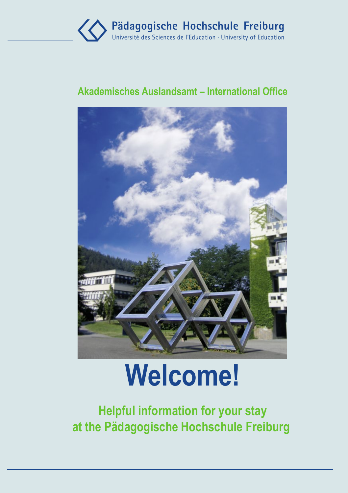

### **Akademisches Auslandsamt – International Office**



# **Welcome!**

**Helpful information for your stay at the Pädagogische Hochschule Freiburg**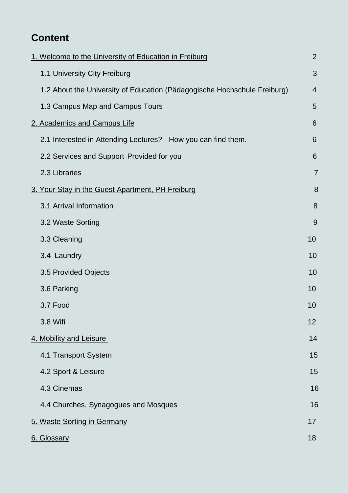# **Content**

| 1. Welcome to the University of Education in Freiburg                    | $\overline{a}$ |  |
|--------------------------------------------------------------------------|----------------|--|
| 1.1 University City Freiburg                                             | 3              |  |
| 1.2 About the University of Education (Pädagogische Hochschule Freiburg) | 4              |  |
| 1.3 Campus Map and Campus Tours                                          | 5              |  |
| 2. Academics and Campus Life                                             | 6              |  |
| 2.1 Interested in Attending Lectures? - How you can find them.           | 6              |  |
| 2.2 Services and Support Provided for you                                | 6              |  |
| 2.3 Libraries                                                            | $\overline{7}$ |  |
| 3. Your Stay in the Guest Apartment, PH Freiburg                         | 8              |  |
| 3.1 Arrival Information                                                  | 8              |  |
| 3.2 Waste Sorting                                                        | 9              |  |
| 3.3 Cleaning                                                             | 10             |  |
| 3.4 Laundry                                                              | 10             |  |
| 3.5 Provided Objects                                                     | 10             |  |
| 3.6 Parking                                                              | 10             |  |
| 3.7 Food                                                                 | 10             |  |
| 3.8 Wifi                                                                 | 12             |  |
| 4. Mobility and Leisure                                                  | 14             |  |
| 4.1 Transport System                                                     | 15             |  |
| 4.2 Sport & Leisure                                                      | 15             |  |
| 4.3 Cinemas                                                              | 16             |  |
| 4.4 Churches, Synagogues and Mosques                                     | 16             |  |
| 5. Waste Sorting in Germany                                              | 17             |  |
| 6. Glossary                                                              | 18             |  |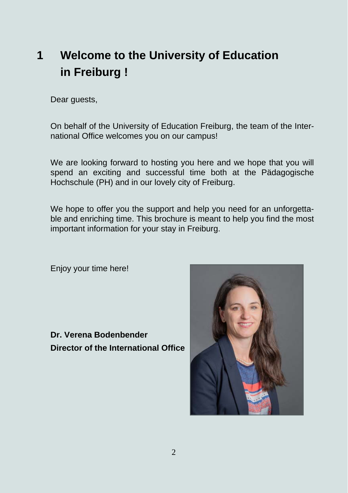# **1 Welcome to the University of Education in Freiburg !**

Dear guests,

On behalf of the University of Education Freiburg, the team of the International Office welcomes you on our campus!

We are looking forward to hosting you here and we hope that you will spend an exciting and successful time both at the Pädagogische Hochschule (PH) and in our lovely city of Freiburg.

We hope to offer you the support and help you need for an unforgettable and enriching time. This brochure is meant to help you find the most important information for your stay in Freiburg.

Enjoy your time here!

**Dr. Verena Bodenbender Director of the International Office** 

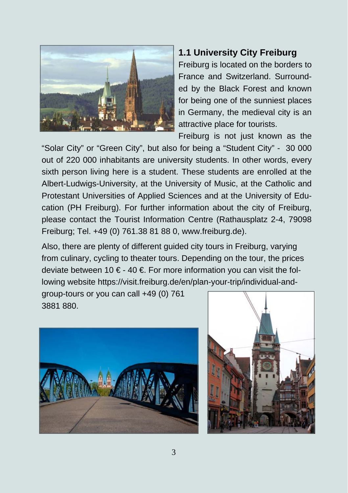

#### **1.1 University City Freiburg**

Freiburg is located on the borders to France and Switzerland. Surrounded by the Black Forest and known for being one of the sunniest places in Germany, the medieval city is an attractive place for tourists.

Freiburg is not just known as the

"Solar City" or "Green City", but also for being a "Student City" - 30 000 out of 220 000 inhabitants are university students. In other words, every sixth person living here is a student. These students are enrolled at the Albert-Ludwigs-University, at the University of Music, at the Catholic and Protestant Universities of Applied Sciences and at the University of Education (PH Freiburg). For further information about the city of Freiburg, please contact the Tourist Information Centre (Rathausplatz 2-4, 79098 Freiburg; Tel. +49 (0) 761.38 81 88 0, www.freiburg.de).

Also, there are plenty of different guided city tours in Freiburg, varying from culinary, cycling to theater tours. Depending on the tour, the prices deviate between 10 € - 40 €. For more information you can visit the following website https://visit.freiburg.de/en/plan-your-trip/individual-and-

group-tours or you can call +49 (0) 761 3881 880.



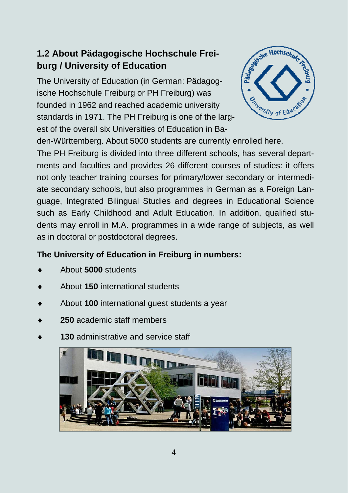#### **1.2 About Pädagogische Hochschule Freiburg / University of Education**

The University of Education (in German: Pädagogische Hochschule Freiburg or PH Freiburg) was founded in 1962 and reached academic university standards in 1971. The PH Freiburg is one of the largest of the overall six Universities of Education in Ba-



den-Württemberg. About 5000 students are currently enrolled here.

The PH Freiburg is divided into three different schools, has several departments and faculties and provides 26 different courses of studies: it offers not only teacher training courses for primary/lower secondary or intermediate secondary schools, but also programmes in German as a Foreign Language, Integrated Bilingual Studies and degrees in Educational Science such as Early Childhood and Adult Education. In addition, qualified students may enroll in M.A. programmes in a wide range of subjects, as well as in doctoral or postdoctoral degrees.

#### **The University of Education in Freiburg in numbers:**

- About **5000** students
- About **150** international students
- About **100** international guest students a year
- **250** academic staff members
- **130** administrative and service staff

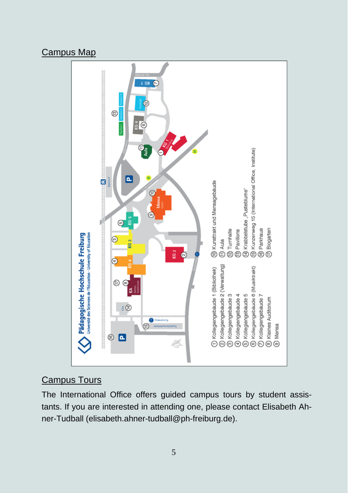#### Campus Map



#### Campus Tours

The International Office offers guided campus tours by student assistants. If you are interested in attending one, please contact Elisabeth Ahner-Tudball (elisabeth.ahner-tudball@ph-freiburg.de).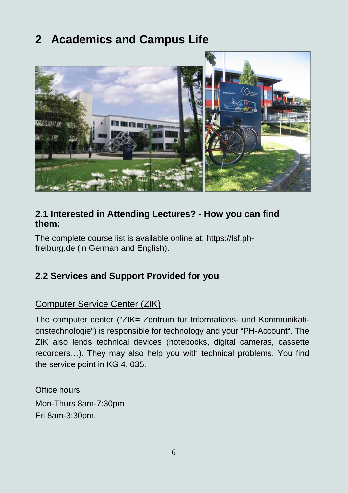# **2 Academics and Campus Life**



#### **2.1 Interested in Attending Lectures? - How you can find them:**

The complete course list is available online at: https://lsf.phfreiburg.de (in German and English).

#### **2.2 Services and Support Provided for you**

#### Computer Service Center (ZIK)

The computer center ("ZIK= Zentrum für Informations- und Kommunikationstechnologie") is responsible for technology and your "PH-Account". The ZIK also lends technical devices (notebooks, digital cameras, cassette recorders…). They may also help you with technical problems. You find the service point in KG 4, 035.

Office hours: Mon-Thurs 8am-7:30pm Fri 8am-3:30pm.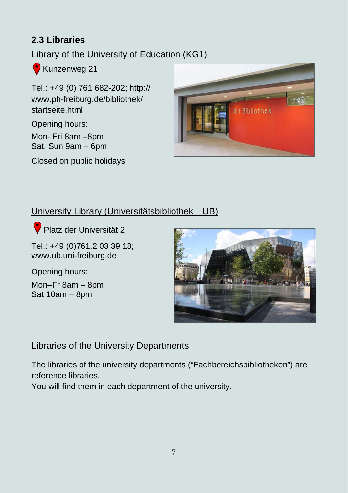#### **2.3 Libraries**

### Library of the University of Education (KG1)

Kunzenweg 21

Tel.: +49 (0) 761 682-202; http:// www.ph-freiburg.de/bibliothek/ startseite html

Opening hours:

Mon- Fri 8am –8pm Sat, Sun 9am – 6pm

Closed on public holidays



#### University Library (Universitätsbibliothek—UB)

**Platz der Universität 2** 

Tel.: +49 (0)761.2 03 39 18; www.ub.uni-freiburg.de

Opening hours:

Mon–Fr 8am – 8pm Sat 10am – 8pm



#### Libraries of the University Departments

The libraries of the university departments ("Fachbereichsbibliotheken") are reference libraries.

You will find them in each department of the university.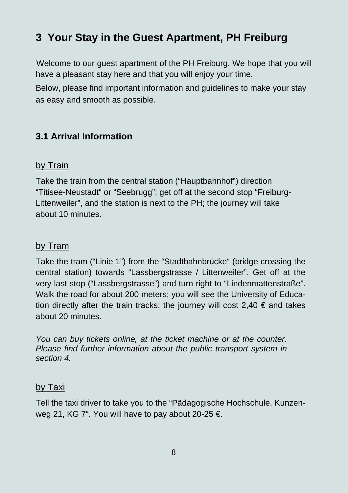# **3 Your Stay in the Guest Apartment, PH Freiburg**

Welcome to our guest apartment of the PH Freiburg. We hope that you will have a pleasant stay here and that you will enjoy your time.

Below, please find important information and guidelines to make your stay as easy and smooth as possible.

#### **3.1 Arrival Information**

#### by Train

Take the train from the central station ("Hauptbahnhof") direction "Titisee-Neustadt" or "Seebrugg"; get off at the second stop "Freiburg-Littenweiler", and the station is next to the PH; the journey will take about 10 minutes.

#### by Tram

Take the tram ("Linie 1") from the "Stadtbahnbrücke" (bridge crossing the central station) towards "Lassbergstrasse / Littenweiler". Get off at the very last stop ("Lassbergstrasse") and turn right to "Lindenmattenstraße". Walk the road for about 200 meters; you will see the University of Education directly after the train tracks; the journey will cost  $2.40 \in$  and takes about 20 minutes.

*You can buy tickets online, at the ticket machine or at the counter. Please find further information about the public transport system in section 4.* 

#### by Taxi

Tell the taxi driver to take you to the "Pädagogische Hochschule, Kunzenweg 21, KG 7". You will have to pay about 20-25  $\epsilon$ .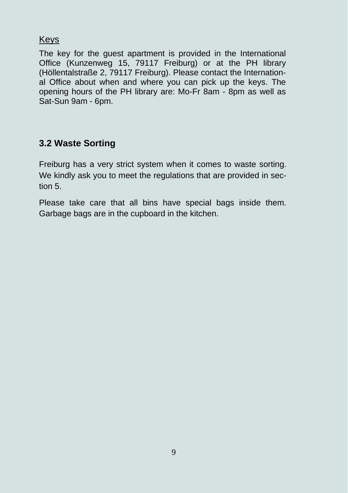#### **Keys**

The key for the guest apartment is provided in the International Office (Kunzenweg 15, 79117 Freiburg) or at the PH library (Höllentalstraße 2, 79117 Freiburg). Please contact the International Office about when and where you can pick up the keys. The opening hours of the PH library are: Mo-Fr 8am - 8pm as well as Sat-Sun 9am - 6pm.

#### **3.2 Waste Sorting**

Freiburg has a very strict system when it comes to waste sorting. We kindly ask you to meet the regulations that are provided in section 5.

Please take care that all bins have special bags inside them. Garbage bags are in the cupboard in the kitchen.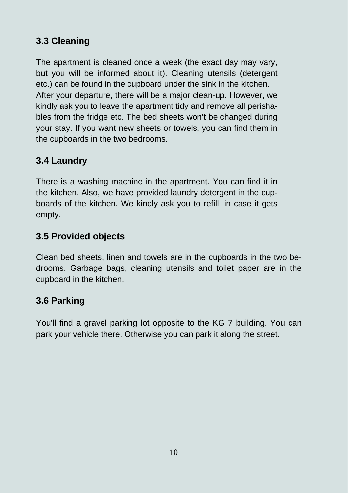#### **3.3 Cleaning**

The apartment is cleaned once a week (the exact day may vary, but you will be informed about it). Cleaning utensils (detergent etc.) can be found in the cupboard under the sink in the kitchen. After your departure, there will be a major clean-up. However, we kindly ask you to leave the apartment tidy and remove all perishables from the fridge etc. The bed sheets won't be changed during your stay. If you want new sheets or towels, you can find them in the cupboards in the two bedrooms.

#### **3.4 Laundry**

There is a washing machine in the apartment. You can find it in the kitchen. Also, we have provided laundry detergent in the cupboards of the kitchen. We kindly ask you to refill, in case it gets empty.

#### **3.5 Provided objects**

Clean bed sheets, linen and towels are in the cupboards in the two bedrooms. Garbage bags, cleaning utensils and toilet paper are in the cupboard in the kitchen.

#### **3.6 Parking**

You'll find a gravel parking lot opposite to the KG 7 building. You can park your vehicle there. Otherwise you can park it along the street.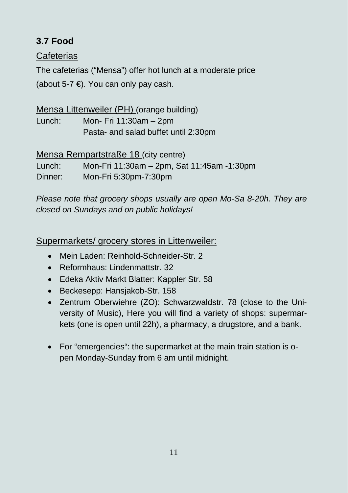### **3.7 Food**

#### **Cafeterias**

The cafeterias ("Mensa") offer hot lunch at a moderate price (about 5-7  $\epsilon$ ). You can only pay cash.

#### Mensa Littenweiler (PH) (orange building)

Lunch: Mon- Fri 11:30am – 2pm Pasta- and salad buffet until 2:30pm

#### Mensa Rempartstraße 18 (city centre)

Lunch: Mon-Fri 11:30am – 2pm, Sat 11:45am -1:30pm Dinner: Mon-Fri 5:30pm-7:30pm

*Please note that grocery shops usually are open Mo-Sa 8-20h. They are closed on Sundays and on public holidays!* 

#### Supermarkets/ grocery stores in Littenweiler:

- Mein Laden: Reinhold-Schneider-Str. 2
- Reformhaus: Lindenmattstr. 32
- Edeka Aktiv Markt Blatter: Kappler Str. 58
- Beckesepp: Hansjakob-Str. 158
- Zentrum Oberwiehre (ZO): Schwarzwaldstr. 78 (close to the University of Music), Here you will find a variety of shops: supermarkets (one is open until 22h), a pharmacy, a drugstore, and a bank.
- For "emergencies": the supermarket at the main train station is open Monday-Sunday from 6 am until midnight.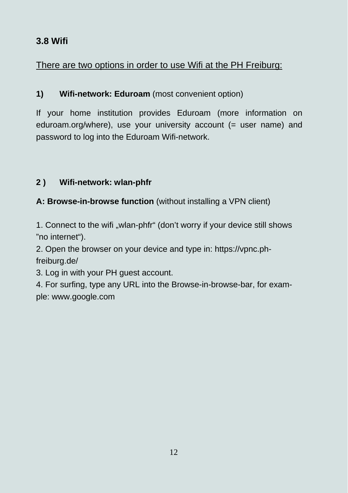#### **3.8 Wifi**

#### There are two options in order to use Wifi at the PH Freiburg:

#### **1) Wifi-network: Eduroam** (most convenient option)

If your home institution provides Eduroam (more information on eduroam.org/where), use your university account (= user name) and password to log into the Eduroam Wifi-network.

#### **2 ) Wifi-network: wlan-phfr**

#### **A: Browse-in-browse function** (without installing a VPN client)

1. Connect to the wifi "wlan-phfr" (don't worry if your device still shows "no internet").

2. Open the browser on your device and type in: https://vpnc.phfreiburg.de/

3. Log in with your PH guest account.

4. For surfing, type any URL into the Browse-in-browse-bar, for example: www.google.com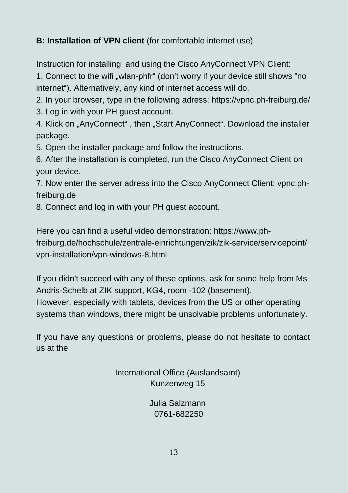#### **B: Installation of VPN client** (for comfortable internet use)

Instruction for installing and using the Cisco AnyConnect VPN Client:

1. Connect to the wifi "wlan-phfr" (don't worry if your device still shows "no internet"). Alternatively, any kind of internet access will do.

2. In your browser, type in the following adress: https://vpnc.ph-freiburg.de/

3. Log in with your PH guest account.

4. Klick on "AnyConnect", then "Start AnyConnect". Download the installer package.

5. Open the installer package and follow the instructions.

6. After the installation is completed, run the Cisco AnyConnect Client on your device.

7. Now enter the server adress into the Cisco AnyConnect Client: vpnc.phfreiburg.de

8. Connect and log in with your PH guest account.

Here you can find a useful video demonstration: https://www.phfreiburg.de/hochschule/zentrale-einrichtungen/zik/zik-service/servicepoint/ vpn-installation/vpn-windows-8.html

If you didn't succeed with any of these options, ask for some help from Ms Andris-Schelb at ZIK support, KG4, room -102 (basement). However, especially with tablets, devices from the US or other operating systems than windows, there might be unsolvable problems unfortunately.

If you have any questions or problems, please do not hesitate to contact us at the

> International Office (Auslandsamt) Kunzenweg 15

> > Julia Salzmann 0761-682250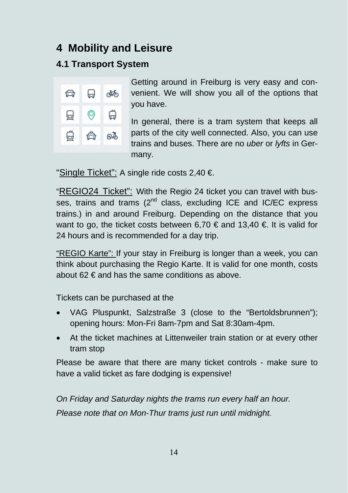## **4 Mobility and Leisure**

#### **4.1 Transport System**



Getting around in Freiburg is very easy and convenient. We will show you all of the options that you have.

In general, there is a tram system that keeps all parts of the city well connected. Also, you can use trains and buses. There are no *uber* or *lyfts* in Germany.

"Single Ticket": A single ride costs 2,40 €.

"REGIO24 Ticket": With the Regio 24 ticket you can travel with busses, trains and trams  $(2^{nd}$  class, excluding ICE and IC/EC express trains.) in and around Freiburg. Depending on the distance that you want to go, the ticket costs between 6,70  $\epsilon$  and 13,40  $\epsilon$ . It is valid for 24 hours and is recommended for a day trip.

"REGIO Karte": If your stay in Freiburg is longer than a week, you can think about purchasing the Regio Karte. It is valid for one month, costs about 62  $\in$  and has the same conditions as above.

Tickets can be purchased at the

- VAG Pluspunkt, Salzstraße 3 (close to the "Bertoldsbrunnen"); opening hours: Mon-Fri 8am-7pm and Sat 8:30am-4pm.
- At the ticket machines at Littenweiler train station or at every other tram stop

Please be aware that there are many ticket controls - make sure to have a valid ticket as fare dodging is expensive!

*On Friday and Saturday nights the trams run every half an hour. Please note that on Mon-Thur trams just run until midnight.*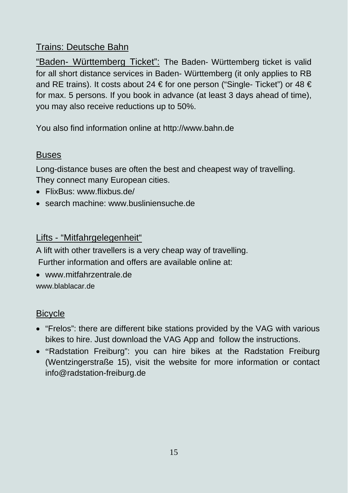#### Trains: Deutsche Bahn

"Baden- Württemberg Ticket": The Baden- Württemberg ticket is valid for all short distance services in Baden- Württemberg (it only applies to RB and RE trains). It costs about 24 € for one person ("Single- Ticket") or 48 € for max. 5 persons. If you book in advance (at least 3 days ahead of time), you may also receive reductions up to 50%.

You also find information online at http://www.bahn.de

#### Buses

Long-distance buses are often the best and cheapest way of travelling. They connect many European cities.

- FlixBus: www.flixbus.de/
- search machine: www.busliniensuche.de

#### Lifts - "Mitfahrgelegenheit"

A lift with other travellers is a very cheap way of travelling.

Further information and offers are available online at:

 www.mitfahrzentrale.de www.blablacar.de

#### **Bicycle**

- "Frelos": there are different bike stations provided by the VAG with various bikes to hire. Just download the VAG App and follow the instructions.
- "Radstation Freiburg": you can hire bikes at the Radstation Freiburg (Wentzingerstraße 15), visit the website for more information or contact info@radstation-freiburg.de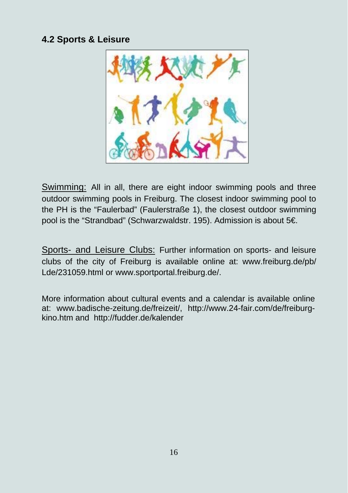#### **4.2 Sports & Leisure**



Swimming: All in all, there are eight indoor swimming pools and three outdoor swimming pools in Freiburg. The closest indoor swimming pool to the PH is the "Faulerbad" (Faulerstraße 1), the closest outdoor swimming pool is the "Strandbad" (Schwarzwaldstr. 195). Admission is about 5€.

Sports- and Leisure Clubs: Further information on sports- and leisure clubs of the city of Freiburg is available online at: www.freiburg.de/pb/ Lde/231059.html or www.sportportal.freiburg.de/.

More information about cultural events and a calendar is available online at: www.badische-zeitung.de/freizeit/, http://www.24-fair.com/de/freiburgkino.htm and http://fudder.de/kalender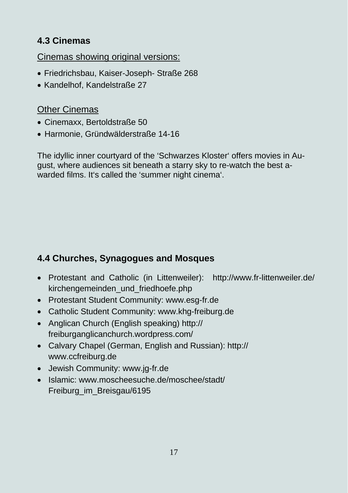#### **4.3 Cinemas**

Cinemas showing original versions:

- Friedrichsbau, Kaiser-Joseph- Straße 268
- Kandelhof, Kandelstraße 27

#### Other Cinemas

- Cinemaxx, Bertoldstraße 50
- Harmonie, Gründwälderstraße 14-16

The idyllic inner courtyard of the 'Schwarzes Kloster' offers movies in August, where audiences sit beneath a starry sky to re-watch the best awarded films. It's called the 'summer night cinema'.

#### **4.4 Churches, Synagogues and Mosques**

- Protestant and Catholic (in Littenweiler): http://www.fr-littenweiler.de/ kirchengemeinden\_und\_friedhoefe.php
- Protestant Student Community: www.esg-fr.de
- Catholic Student Community: www.khg-freiburg.de
- Anglican Church (English speaking) http:// freiburganglicanchurch.wordpress.com/
- Calvary Chapel (German, English and Russian): http:// www.ccfreiburg.de
- Jewish Community: www.jg-fr.de
- Islamic: www.moscheesuche.de/moschee/stadt/ Freiburg\_im\_Breisgau/6195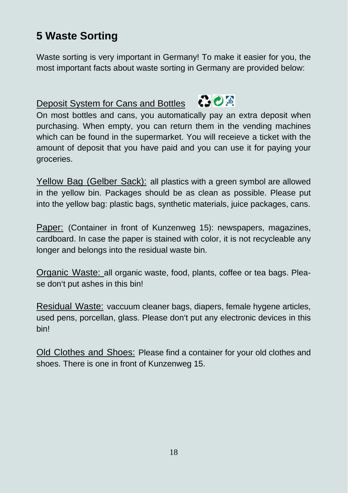# **5 Waste Sorting**

Waste sorting is very important in Germany! To make it easier for you, the most important facts about waste sorting in Germany are provided below:

# Deposit System for Cans and Bottles **COD**



On most bottles and cans, you automatically pay an extra deposit when purchasing. When empty, you can return them in the vending machines which can be found in the supermarket. You will receieve a ticket with the amount of deposit that you have paid and you can use it for paying your groceries.

Yellow Bag (Gelber Sack): all plastics with a green symbol are allowed in the yellow bin. Packages should be as clean as possible. Please put into the yellow bag: plastic bags, synthetic materials, juice packages, cans.

Paper: (Container in front of Kunzenweg 15): newspapers, magazines, cardboard. In case the paper is stained with color, it is not recycleable any longer and belongs into the residual waste bin.

Organic Waste: all organic waste, food, plants, coffee or tea bags. Please don't put ashes in this bin!

Residual Waste: vaccuum cleaner bags, diapers, female hygene articles, used pens, porcellan, glass. Please don't put any electronic devices in this bin!

Old Clothes and Shoes: Please find a container for your old clothes and shoes. There is one in front of Kunzenweg 15.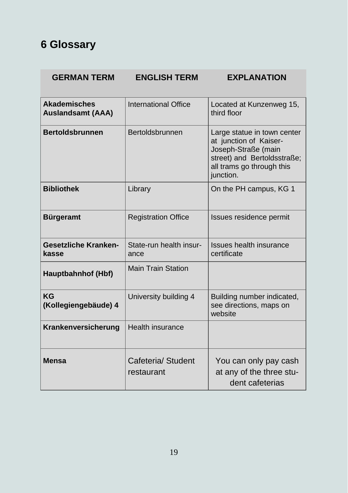# **6 Glossary**

#### **GERMAN TERM ENGLISH TERM EXPLANATION**

| <b>Akademisches</b><br><b>Auslandsamt (AAA)</b> | International Office             | Located at Kunzenweg 15,<br>third floor                                                                                                               |
|-------------------------------------------------|----------------------------------|-------------------------------------------------------------------------------------------------------------------------------------------------------|
| <b>Bertoldsbrunnen</b>                          | Bertoldsbrunnen                  | Large statue in town center<br>at junction of Kaiser-<br>Joseph-Straße (main<br>street) and Bertoldsstraße;<br>all trams go through this<br>junction. |
| <b>Bibliothek</b>                               | Library                          | On the PH campus, KG 1                                                                                                                                |
| <b>Bürgeramt</b>                                | <b>Registration Office</b>       | Issues residence permit                                                                                                                               |
| <b>Gesetzliche Kranken-</b><br>kasse            | State-run health insur-<br>ance  | Issues health insurance<br>certificate                                                                                                                |
| Hauptbahnhof (Hbf)                              | <b>Main Train Station</b>        |                                                                                                                                                       |
| KG<br>(Kollegiengebäude) 4                      | University building 4            | Building number indicated,<br>see directions, maps on<br>website                                                                                      |
| Krankenversicherung                             | Health insurance                 |                                                                                                                                                       |
| Mensa                                           | Cafeteria/ Student<br>restaurant | You can only pay cash<br>at any of the three stu-<br>dent cafeterias                                                                                  |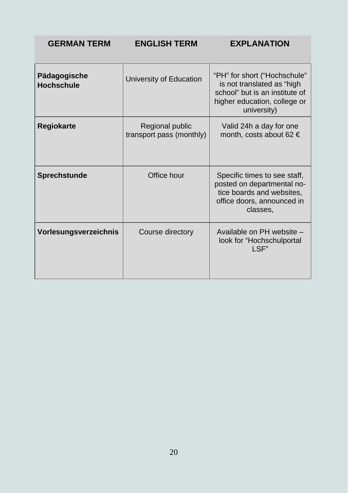**GERMAN TERM ENGLISH TERM EXPLANATION** 

| Pädagogische<br><b>Hochschule</b> | University of Education                     | "PH" for short ("Hochschule"<br>is not translated as "high<br>school" but is an institute of<br>higher education, college or<br>university) |
|-----------------------------------|---------------------------------------------|---------------------------------------------------------------------------------------------------------------------------------------------|
| <b>Regiokarte</b>                 | Regional public<br>transport pass (monthly) | Valid 24h a day for one<br>month, costs about 62 $\in$                                                                                      |
| <b>Sprechstunde</b>               | Office hour                                 | Specific times to see staff,<br>posted on departmental no-<br>tice boards and websites.<br>office doors, announced in<br>classes,           |
| Vorlesungsverzeichnis             | Course directory                            | Available on PH website -<br>look for "Hochschulportal<br>I SF"                                                                             |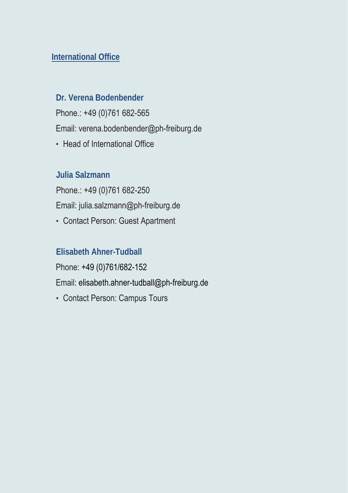#### **International Office**

#### **Dr. Verena Bodenbender**

Phone.: +49 (0)761 682-565

Email: verena[.bodenbender@ph-freiburg.de](mailto:bodenbender@ph-freiburg.de)

• Head of International Office

#### **Julia Salzmann**

Phone.: +49 (0)761 682-250 Email: julia.salzmann@ph-freiburg.de

• Contact Person: Guest Apartment

#### **Elisabeth Ahner-Tudball**

Phone: +49 (0)761/682-152

Email: elisabeth.ahner-tudball@ph-freiburg.de

• Contact Person: Campus Tours